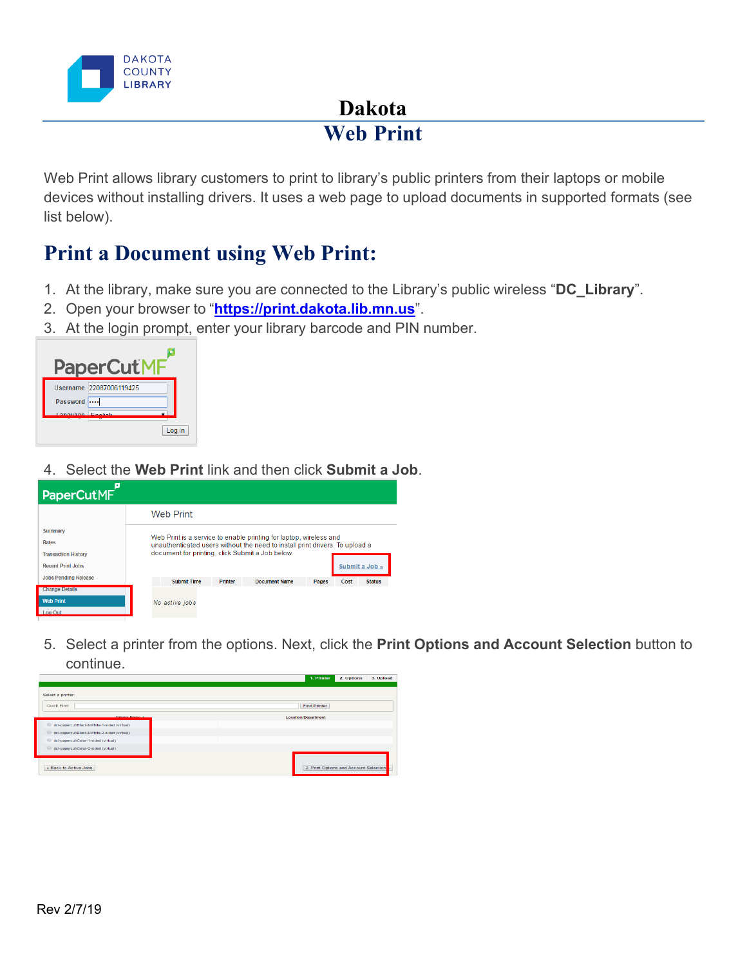

## **Dakota Web Print**

Web Print allows library customers to print to library's public printers from their laptops or mobile devices without installing drivers. It uses a web page to upload documents in supported formats (see list below).

## **Print a Document using Web Print:**

- 1. At the library, make sure you are connected to the Library's public wireless "**DC\_Library**".
- 2. Open your browser to "**[https://print.dakota.lib.mn.us](https://print.dakota.lib.mn.us/)**".
- 3. At the login prompt, enter your library barcode and PIN number.



4. Select the **Web Print** link and then click **Submit a Job**.

| PaperCutMF                  |                                                                              |                                                  |                |                      |       |      |                |  |
|-----------------------------|------------------------------------------------------------------------------|--------------------------------------------------|----------------|----------------------|-------|------|----------------|--|
|                             |                                                                              | <b>Web Print</b>                                 |                |                      |       |      |                |  |
| <b>Summary</b>              | Web Print is a service to enable printing for laptop, wireless and           |                                                  |                |                      |       |      |                |  |
| <b>Rates</b>                | unauthenticated users without the need to install print drivers. To upload a |                                                  |                |                      |       |      |                |  |
| <b>Transaction History</b>  |                                                                              | document for printing, click Submit a Job below. |                |                      |       |      |                |  |
| <b>Recent Print Jobs</b>    |                                                                              |                                                  |                |                      |       |      | Submit a Job » |  |
| <b>Jobs Pending Release</b> |                                                                              | <b>Submit Time</b>                               | <b>Printer</b> | <b>Document Name</b> | Pages | Cost | <b>Status</b>  |  |
| <b>Change Details</b>       |                                                                              |                                                  |                |                      |       |      |                |  |
| <b>Web Print</b>            |                                                                              | No active jobs                                   |                |                      |       |      |                |  |
| Log Out                     |                                                                              |                                                  |                |                      |       |      |                |  |
|                             |                                                                              |                                                  |                |                      |       |      |                |  |

5. Select a printer from the options. Next, click the **Print Options and Account Selection** button to continue.

|                                            | 1. Printer<br>2. Options<br>3. Upload       |
|--------------------------------------------|---------------------------------------------|
|                                            |                                             |
| Select a printer:                          |                                             |
| <b>Quick Find:</b>                         | <b>Find Printer</b>                         |
| Drinter Name 4                             | <b>Location/Department</b>                  |
| dcl-papercut\Black&White-1-sided (virtual) |                                             |
| dcl-papercut\Black&White-2-sided (virtual) |                                             |
| dcl-papercut\Color-1-sided (virtual)       |                                             |
| dcl-papercut\Color-2-sided (virtual)       |                                             |
|                                            |                                             |
| « Back to Active Jobs                      | 2. Print Options and Account Selection<br>۱ |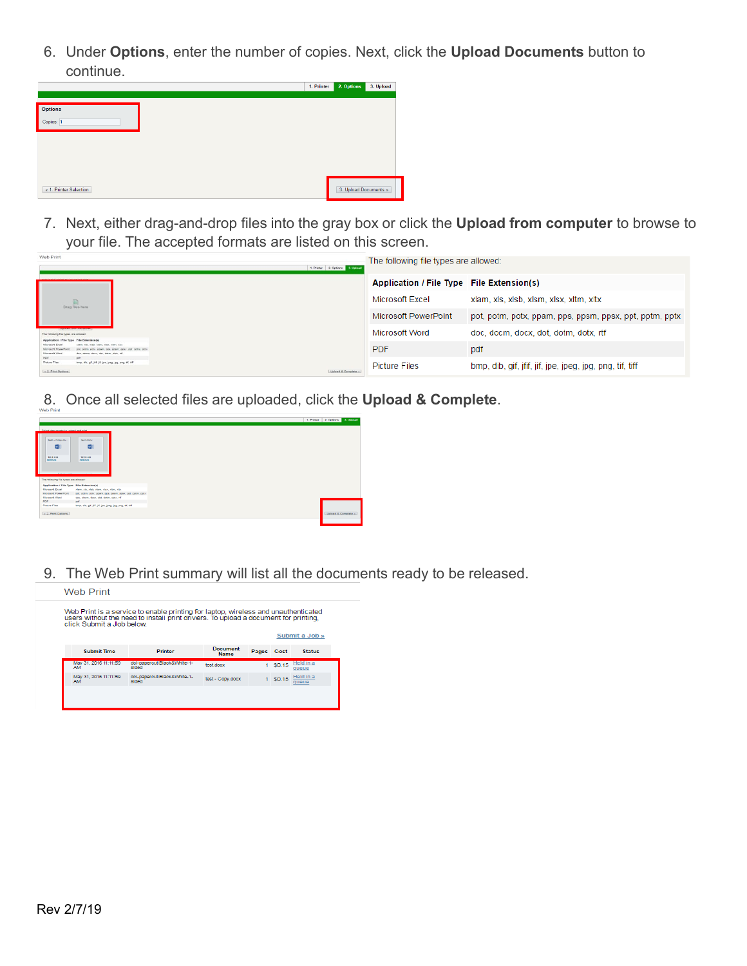6. Under **Options**, enter the number of copies. Next, click the **Upload Documents** button to continue.



7. Next, either drag-and-drop files into the gray box or click the **Upload from computer** to browse to your file. The accepted formats are listed on this screen.

| Web Print                                                                                                           |                                                                                                                   | 1. Printer 2. Options 3. Upload | The following file types are allowed:                   |                                                          |
|---------------------------------------------------------------------------------------------------------------------|-------------------------------------------------------------------------------------------------------------------|---------------------------------|---------------------------------------------------------|----------------------------------------------------------|
|                                                                                                                     |                                                                                                                   |                                 | Application / File Type File Extension(s)               |                                                          |
| Drag files here                                                                                                     |                                                                                                                   | Microsoft Excel                 | xlam, xls, xlsb, xlsm, xlsx, xltm, xltx                 |                                                          |
|                                                                                                                     |                                                                                                                   | Microsoft PowerPoint            | pot, potm, potx, ppam, pps, ppsm, ppsx, ppt, pptm, pptx |                                                          |
| The following file types are allowed.                                                                               |                                                                                                                   |                                 | Microsoft Word                                          | doc, docm, docx, dot, dotm, dotx, rtf                    |
| <b>Application / File Type File Extension(v)</b><br>Microsoft Exce<br><b><i>Chermann Broad</i></b><br>Margaret Wood | which where where wither with<br>ppam, pps. ppam, pps., ppt. pptm, ppt<br>doe, doesn, does, dat, dates, daty, all |                                 | <b>PDF</b>                                              | pdf                                                      |
| PDF<br>Picture Flies<br>- 2. Print Options                                                                          | out.<br>bmp. dib. gif. jff. jif. jpe. jpeg. jpg. png. tif. tiff                                                   | Upload & Complete               | <b>Picture Files</b>                                    | bmp, dib, gif, jfif, jif, jpe, jpeg, jpg, png, tif, tiff |

8. Once all selected files are uploaded, click the **Upload & Complete**.



9. The Web Print summary will list all the documents ready to be released.